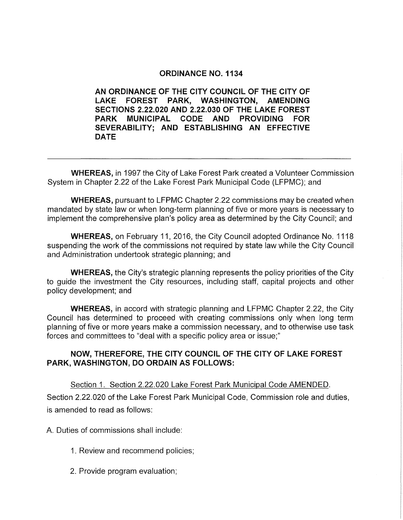## **ORDINANCE NO. 1134**

**AN ORDINANCE OF THE CITY COUNCIL OF THE CITY OF LAKE FOREST PARK, WASHINGTON, AMENDING SECTIONS 2.22.020 AND 2.22.030 OF THE LAKE FOREST PARK MUNICIPAL CODE AND PROVIDING FOR SEVERABILITY; AND ESTABLISHING AN EFFECTIVE DATE** 

**WHEREAS,** in 1997 the City of Lake Forest Park created a Volunteer Commission System in Chapter 2.22 of the Lake Forest Park Municipal Code (LFPMC); and

**WHEREAS,** pursuant to LFPMC Chapter 2.22 commissions may be created when mandated by state law or when long-term planning of five or more years is necessary to implement the comprehensive plan's policy area as determined by the City Council; and

**WHEREAS,** on February 11, 2016, the City Council adopted Ordinance No. 1118 suspending the work of the commissions not required by state law while the City Council and Administration undertook strategic planning; and

**WHEREAS,** the City's strategic planning represents the policy priorities of the City to guide the investment the City resources, including staff, capital projects and other policy development; and

**WHEREAS,** in accord with strategic planning and LFPMC Chapter 2.22, the City Council has determined to proceed with creating commissions only when long term planning of five or more years make a commission necessary, and to otherwise use task forces and committees to "deal with a specific policy area or issue;"

## **NOW, THEREFORE, THE CITY COUNCIL OF THE CITY OF LAKE FOREST PARK, WASHINGTON, DO ORDAIN AS FOLLOWS:**

Section 1. Section 2.22.020 Lake Forest Park Municipal Code AMENDED.

Section 2.22.020 of the Lake Forest Park Municipal Code, Commission role and duties, is amended to read as follows:

A. Duties of commissions shall include:

- 1. Review and recommend policies;
- 2. Provide program evaluation;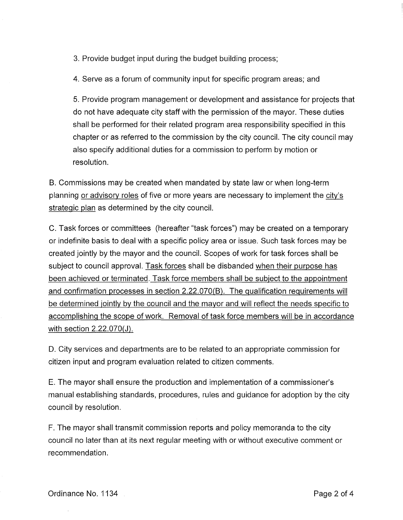3. Provide budget input during the budget building process;

4. Serve as a forum of community input for specific program areas; and

5. Provide program management or development and assistance for projects that do not have adequate city staff with the permission of the mayor. These duties shall be performed for their related program area responsibility specified in this chapter or as referred to the commission by the city council. The city council may also specify additional duties for a commission to perform by motion or resolution.

B. Commissions may be created when mandated by state law or when long-term planning or advisory roles of five or more years are necessary to implement the city's strategic plan as determined by the city council.

C. Task forces or committees (hereafter "task forces") may be created on a temporary or indefinite basis to deal with a specific policy area or issue. Such task forces may be created jointly by the mayor and the council. Scopes of work for task forces shall be subject to council approval. Task forces shall be disbanded when their purpose has been achieved or terminated. Task force members shall be subject to the appointment and confirmation processes in section 2.22.070(8). The qualification requirements will be determined jointly by the council and the mayor and will reflect the needs specific to accomplishing the scope of work. Removal of task force members will be in accordance with section 2.22.070(J).

D. City services and departments are to be related to an appropriate commission for citizen input and program evaluation related to citizen comments.

E. The mayor shall ensure the production and implementation of a commissioner's manual establishing standards, procedures, rules and guidance for adoption by the city council by resolution.

F. The mayor shall transmit commission reports and policy memoranda to the city council no later than at its next regular meeting with or without executive comment or recommendation.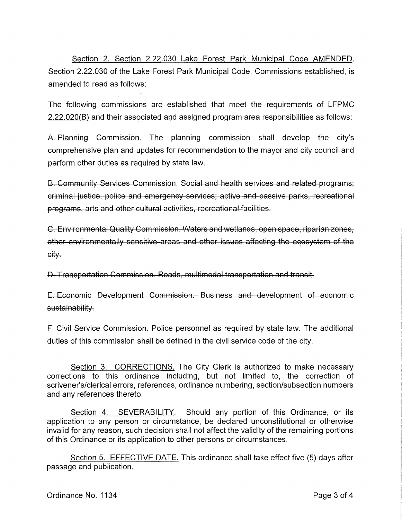Section 2. Section 2.22.030 Lake Forest Park Municipal Code AMENDED. Section 2.22.030 of the Lake Forest Park Municipal Code, Commissions established, is amended to read as follows:

The following commissions are established that meet the requirements of LFPMC 2.22.020(B) and their associated and assigned program area responsibilities as follows:

A. Planning Commission. The planning commission shall develop the city's comprehensive plan and updates for recommendation to the mayor and city council and perform other duties as required by state law.

B. Community Services Commission. Social and health services and related programs; criminal justice, police and emergency services; active and passive parks, recreational programs, arts and other cultural activities, recreational facilities.

C. Environmental Quality Commission. Waters and wetlands, open space, riparian zones, other environmentally sensitive areas and other issues affecting the ecosystem of the eity.

D. Transportation Commission. Roads, multimodal transportation and transit.

E. Economic Development Commission. Business and development of economic sustainability.

F. Civil Service Commission. Police personnel as required by state law. The additional duties of this commission shall be defined in the civil service code of the city.

Section 3. CORRECTIONS. The City Clerk is authorized to make necessary corrections to this ordinance including, but not limited to, the correction of scrivener's/clerical errors, references, ordinance numbering, section/subsection numbers and any references thereto.

Section 4. SEVERABILITY. Should any portion of this Ordinance, or its application to any person or circumstance, be declared unconstitutional or otherwise invalid for any reason, such decision shall not affect the validity of the remaining portions of this Ordinance or its application to other persons or circumstances.

Section 5. EFFECTIVE DATE. This ordinance shall take effect five (5) days after passage and publication.